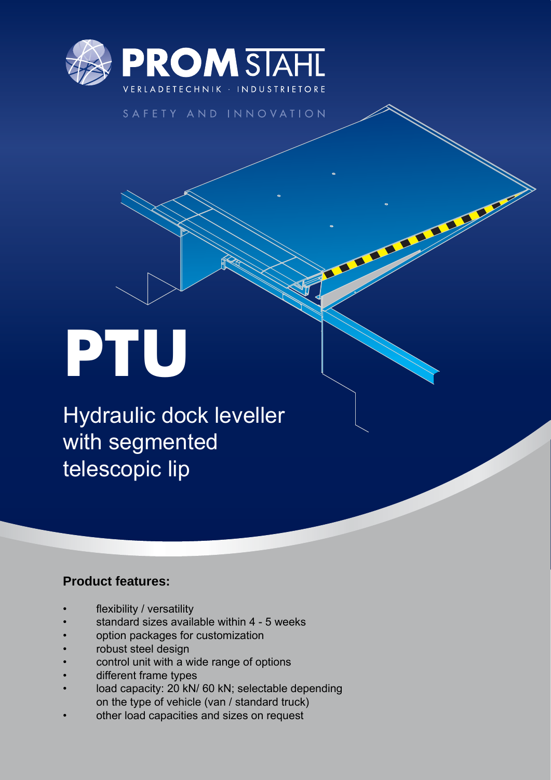

### SAFETY AND INNOVATION

T

# **PTU**

Hydraulic dock leveller with segmented telescopic lip

## **Product features:**

- flexibility / versatility
- standard sizes available within 4 5 weeks
- option packages for customization
- robust steel design
- control unit with a wide range of options
- different frame types
- load capacity: 20 kN/ 60 kN; selectable depending on the type of vehicle (van / standard truck)
- other load capacities and sizes on request